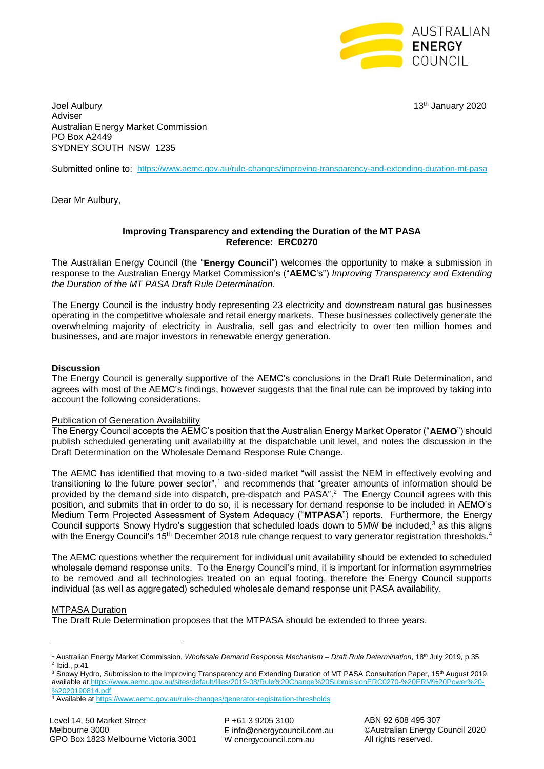

Joel Aulbury 13th January 2020 Adviser Australian Energy Market Commission PO Box A2449 SYDNEY SOUTH NSW 1235

Submitted online to: <https://www.aemc.gov.au/rule-changes/improving-transparency-and-extending-duration-mt-pasa>

Dear Mr Aulbury,

#### **Improving Transparency and extending the Duration of the MT PASA Reference: ERC0270**

The Australian Energy Council (the "**Energy Council**") welcomes the opportunity to make a submission in response to the Australian Energy Market Commission's ("**AEMC**'s") *Improving Transparency and Extending the Duration of the MT PASA Draft Rule Determination*.

The Energy Council is the industry body representing 23 electricity and downstream natural gas businesses operating in the competitive wholesale and retail energy markets. These businesses collectively generate the overwhelming majority of electricity in Australia, sell gas and electricity to over ten million homes and businesses, and are major investors in renewable energy generation.

## **Discussion**

The Energy Council is generally supportive of the AEMC's conclusions in the Draft Rule Determination, and agrees with most of the AEMC's findings, however suggests that the final rule can be improved by taking into account the following considerations.

#### Publication of Generation Availability

The Energy Council accepts the AEMC's position that the Australian Energy Market Operator ("**AEMO**") should publish scheduled generating unit availability at the dispatchable unit level, and notes the discussion in the Draft Determination on the Wholesale Demand Response Rule Change.

The AEMC has identified that moving to a two-sided market "will assist the NEM in effectively evolving and transitioning to the future power sector", <sup>1</sup> and recommends that "greater amounts of information should be provided by the demand side into dispatch, pre-dispatch and PASA".<sup>2</sup> The Energy Council agrees with this position, and submits that in order to do so, it is necessary for demand response to be included in AEMO's Medium Term Projected Assessment of System Adequacy ("**MTPASA**") reports. Furthermore, the Energy Council supports Snowy Hydro's suggestion that scheduled loads down to 5MW be included, $3$  as this aligns with the Energy Council's 15<sup>th</sup> December 2018 rule change request to vary generator registration thresholds.<sup>4</sup>

The AEMC questions whether the requirement for individual unit availability should be extended to scheduled wholesale demand response units. To the Energy Council's mind, it is important for information asymmetries to be removed and all technologies treated on an equal footing, therefore the Energy Council supports individual (as well as aggregated) scheduled wholesale demand response unit PASA availability.

#### MTPASA Duration

**.** 

The Draft Rule Determination proposes that the MTPASA should be extended to three years.

<sup>1</sup> Australian Energy Market Commission, *Wholesale Demand Response Mechanism – Draft Rule Determination*, 18th July 2019, p.35  $<sup>2</sup>$  lbid., p.41</sup>

<sup>&</sup>lt;sup>3</sup> Snowy Hydro, Submission to the Improving Transparency and Extending Duration of MT PASA Consultation Paper, 15<sup>th</sup> August 2019, available a[t https://www.aemc.gov.au/sites/default/files/2019-08/Rule%20Change%20SubmissionERC0270-%20ERM%20Power%20-](https://www.aemc.gov.au/sites/default/files/2019-08/Rule%20Change%20SubmissionERC0270-%20ERM%20Power%20-%2020190814.pdf) [%2020190814.pdf](https://www.aemc.gov.au/sites/default/files/2019-08/Rule%20Change%20SubmissionERC0270-%20ERM%20Power%20-%2020190814.pdf)

<sup>4</sup> Available a[t https://www.aemc.gov.au/rule-changes/generator-registration-thresholds](https://www.aemc.gov.au/rule-changes/generator-registration-thresholds)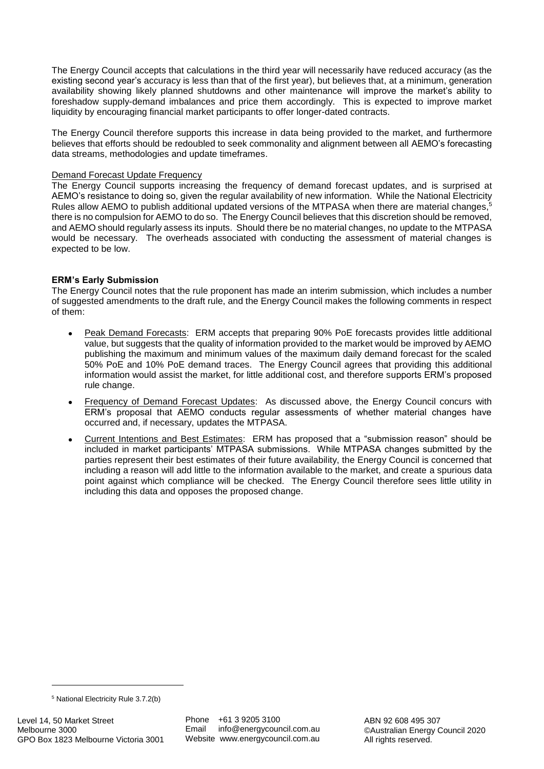The Energy Council accepts that calculations in the third year will necessarily have reduced accuracy (as the existing second year's accuracy is less than that of the first year), but believes that, at a minimum, generation availability showing likely planned shutdowns and other maintenance will improve the market's ability to foreshadow supply-demand imbalances and price them accordingly. This is expected to improve market liquidity by encouraging financial market participants to offer longer-dated contracts.

The Energy Council therefore supports this increase in data being provided to the market, and furthermore believes that efforts should be redoubled to seek commonality and alignment between all AEMO's forecasting data streams, methodologies and update timeframes.

## Demand Forecast Update Frequency

The Energy Council supports increasing the frequency of demand forecast updates, and is surprised at AEMO's resistance to doing so, given the regular availability of new information. While the National Electricity Rules allow AEMO to publish additional updated versions of the MTPASA when there are material changes.<sup>5</sup> there is no compulsion for AEMO to do so. The Energy Council believes that this discretion should be removed, and AEMO should regularly assess its inputs. Should there be no material changes, no update to the MTPASA would be necessary. The overheads associated with conducting the assessment of material changes is expected to be low.

# **ERM's Early Submission**

The Energy Council notes that the rule proponent has made an interim submission, which includes a number of suggested amendments to the draft rule, and the Energy Council makes the following comments in respect of them:

- Peak Demand Forecasts: ERM accepts that preparing 90% PoE forecasts provides little additional value, but suggests that the quality of information provided to the market would be improved by AEMO publishing the maximum and minimum values of the maximum daily demand forecast for the scaled 50% PoE and 10% PoE demand traces. The Energy Council agrees that providing this additional information would assist the market, for little additional cost, and therefore supports ERM's proposed rule change.
- Frequency of Demand Forecast Updates: As discussed above, the Energy Council concurs with ERM's proposal that AEMO conducts regular assessments of whether material changes have occurred and, if necessary, updates the MTPASA.
- Current Intentions and Best Estimates: ERM has proposed that a "submission reason" should be included in market participants' MTPASA submissions. While MTPASA changes submitted by the parties represent their best estimates of their future availability, the Energy Council is concerned that including a reason will add little to the information available to the market, and create a spurious data point against which compliance will be checked. The Energy Council therefore sees little utility in including this data and opposes the proposed change.

**.** 

<sup>5</sup> National Electricity Rule 3.7.2(b)